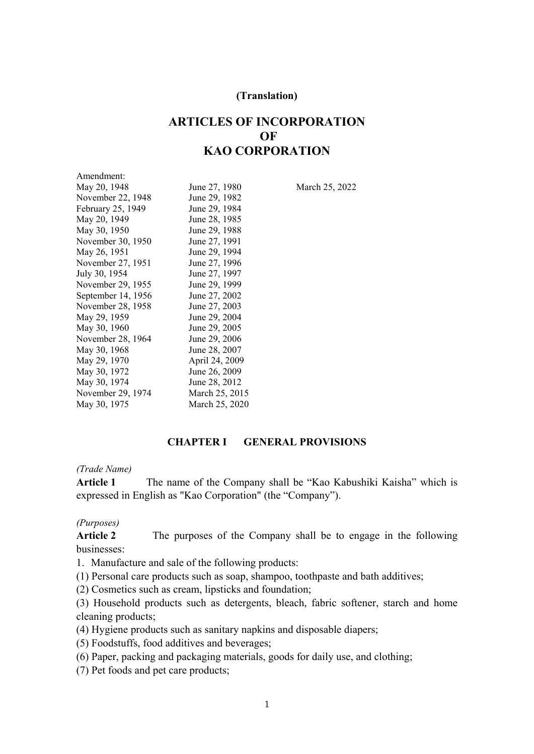#### **(Translation)**

# **ARTICLES OF INCORPORATION OF KAO CORPORATION**

| Amendment:         |                |
|--------------------|----------------|
| May 20, 1948       | June 27, 1980  |
| November 22, 1948  | June 29, 1982  |
| February 25, 1949  | June 29, 1984  |
| May 20, 1949       | June 28, 1985  |
| May 30, 1950       | June 29, 1988  |
| November 30, 1950  | June 27, 1991  |
| May 26, 1951       | June 29, 1994  |
| November 27, 1951  | June 27, 1996  |
| July 30, 1954      | June 27, 1997  |
| November 29, 1955  | June 29, 1999  |
| September 14, 1956 | June 27, 2002  |
| November 28, 1958  | June 27, 2003  |
| May 29, 1959       | June 29, 2004  |
| May 30, 1960       | June 29, 2005  |
| November 28, 1964  | June 29, 2006  |
| May 30, 1968       | June 28, 2007  |
| May 29, 1970       | April 24, 2009 |
| May 30, 1972       | June 26, 2009  |
| May 30, 1974       | June 28, 2012  |
| November 29, 1974  | March 25, 2015 |
| May 30, 1975       | March 25, 2020 |

10 March 25, 2022

#### **CHAPTER I GENERAL PROVISIONS**

#### *(Trade Name)*

**Article 1** The name of the Company shall be "Kao Kabushiki Kaisha" which is expressed in English as "Kao Corporation" (the "Company").

### *(Purposes)*

**Article 2** The purposes of the Company shall be to engage in the following businesses:

1. Manufacture and sale of the following products:

(1) Personal care products such as soap, shampoo, toothpaste and bath additives;

(2) Cosmetics such as cream, lipsticks and foundation;

(3) Household products such as detergents, bleach, fabric softener, starch and home cleaning products;

(4) Hygiene products such as sanitary napkins and disposable diapers;

(5) Foodstuffs, food additives and beverages;

(6) Paper, packing and packaging materials, goods for daily use, and clothing;

(7) Pet foods and pet care products;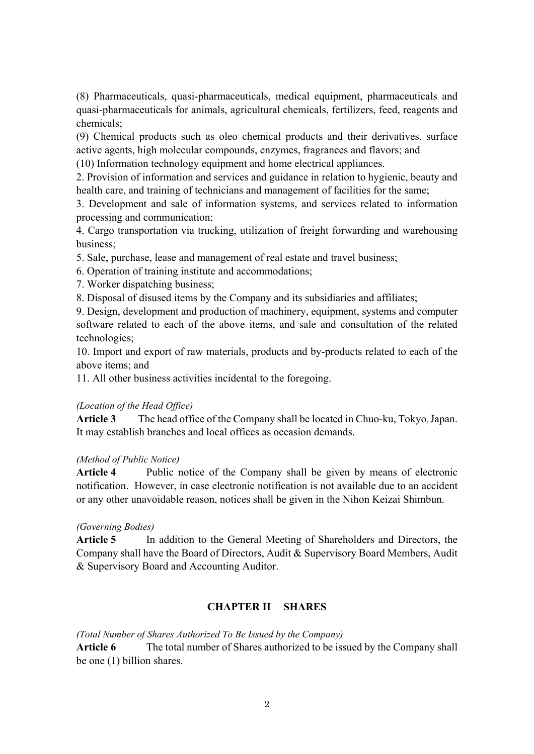(8) Pharmaceuticals, quasi-pharmaceuticals, medical equipment, pharmaceuticals and quasi-pharmaceuticals for animals, agricultural chemicals, fertilizers, feed, reagents and chemicals;

(9) Chemical products such as oleo chemical products and their derivatives, surface active agents, high molecular compounds, enzymes, fragrances and flavors; and

(10) Information technology equipment and home electrical appliances.

2. Provision of information and services and guidance in relation to hygienic, beauty and health care, and training of technicians and management of facilities for the same;

3. Development and sale of information systems, and services related to information processing and communication;

4. Cargo transportation via trucking, utilization of freight forwarding and warehousing business;

5. Sale, purchase, lease and management of real estate and travel business;

6. Operation of training institute and accommodations;

7. Worker dispatching business;

8. Disposal of disused items by the Company and its subsidiaries and affiliates;

9. Design, development and production of machinery, equipment, systems and computer software related to each of the above items, and sale and consultation of the related technologies;

10. Import and export of raw materials, products and by-products related to each of the above items; and

11. All other business activities incidental to the foregoing.

# *(Location of the Head Office)*

**Article 3** The head office of the Company shall be located in Chuo-ku, Tokyo, Japan. It may establish branches and local offices as occasion demands.

### *(Method of Public Notice)*

**Article 4** Public notice of the Company shall be given by means of electronic notification. However, in case electronic notification is not available due to an accident or any other unavoidable reason, notices shall be given in the Nihon Keizai Shimbun.

### *(Governing Bodies)*

**Article 5** In addition to the General Meeting of Shareholders and Directors, the Company shall have the Board of Directors, Audit & Supervisory Board Members, Audit & Supervisory Board and Accounting Auditor.

# **CHAPTER II SHARES**

*(Total Number of Shares Authorized To Be Issued by the Company)* 

**Article 6** The total number of Shares authorized to be issued by the Company shall be one (1) billion shares.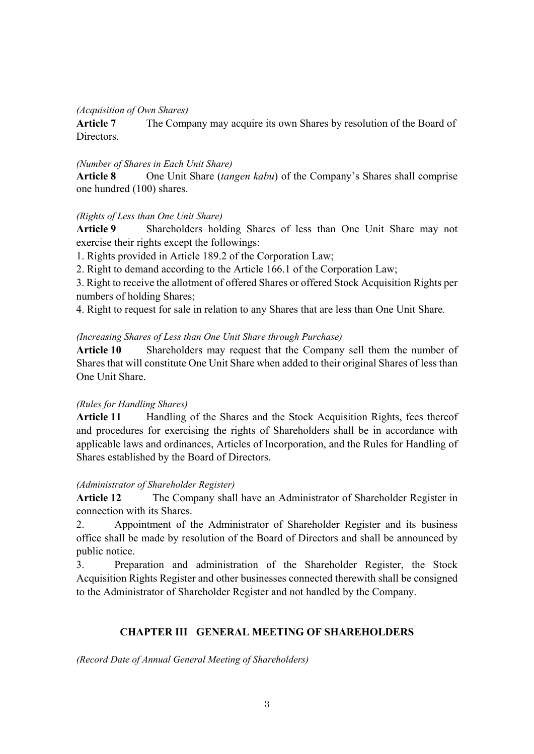#### *(Acquisition of Own Shares)*

**Article 7** The Company may acquire its own Shares by resolution of the Board of Directors.

#### *(Number of Shares in Each Unit Share)*

**Article 8** One Unit Share (*tangen kabu*) of the Company's Shares shall comprise one hundred (100) shares.

### *(Rights of Less than One Unit Share)*

**Article 9** Shareholders holding Shares of less than One Unit Share may not exercise their rights except the followings:

1. Rights provided in Article 189.2 of the Corporation Law;

2. Right to demand according to the Article 166.1 of the Corporation Law;

3. Right to receive the allotment of offered Shares or offered Stock Acquisition Rights per numbers of holding Shares;

4. Right to request for sale in relation to any Shares that are less than One Unit Share*.*

### *(Increasing Shares of Less than One Unit Share through Purchase)*

**Article 10** Shareholders may request that the Company sell them the number of Shares that will constitute One Unit Share when added to their original Shares of less than One Unit Share.

### *(Rules for Handling Shares)*

**Article 11** Handling of the Shares and the Stock Acquisition Rights, fees thereof and procedures for exercising the rights of Shareholders shall be in accordance with applicable laws and ordinances, Articles of Incorporation, and the Rules for Handling of Shares established by the Board of Directors.

### *(Administrator of Shareholder Register)*

**Article 12** The Company shall have an Administrator of Shareholder Register in connection with its Shares.

2. Appointment of the Administrator of Shareholder Register and its business office shall be made by resolution of the Board of Directors and shall be announced by public notice.

3. Preparation and administration of the Shareholder Register, the Stock Acquisition Rights Register and other businesses connected therewith shall be consigned to the Administrator of Shareholder Register and not handled by the Company.

# **CHAPTER III GENERAL MEETING OF SHAREHOLDERS**

*(Record Date of Annual General Meeting of Shareholders)*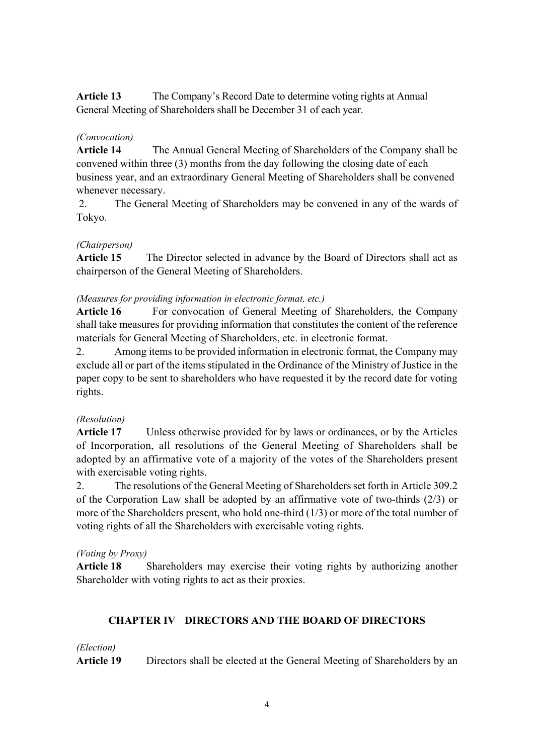**Article 13** The Company's Record Date to determine voting rights at Annual General Meeting of Shareholders shall be December 31 of each year.

# *(Convocation)*

**Article 14** The Annual General Meeting of Shareholders of the Company shall be convened within three (3) months from the day following the closing date of each business year, and an extraordinary General Meeting of Shareholders shall be convened whenever necessary.

 2. The General Meeting of Shareholders may be convened in any of the wards of Tokyo.

# *(Chairperson)*

**Article 15** The Director selected in advance by the Board of Directors shall act as chairperson of the General Meeting of Shareholders.

# *(Measures for providing information in electronic format, etc.)*

Article 16 For convocation of General Meeting of Shareholders, the Company shall take measures for providing information that constitutes the content of the reference materials for General Meeting of Shareholders, etc. in electronic format.

2. Among items to be provided information in electronic format, the Company may exclude all or part of the items stipulated in the Ordinance of the Ministry of Justice in the paper copy to be sent to shareholders who have requested it by the record date for voting rights.

# *(Resolution)*

**Article 17** Unless otherwise provided for by laws or ordinances, or by the Articles of Incorporation, all resolutions of the General Meeting of Shareholders shall be adopted by an affirmative vote of a majority of the votes of the Shareholders present with exercisable voting rights.

2. The resolutions of the General Meeting of Shareholders set forth in Article 309.2 of the Corporation Law shall be adopted by an affirmative vote of two-thirds (2/3) or more of the Shareholders present, who hold one-third (1/3) or more of the total number of voting rights of all the Shareholders with exercisable voting rights.

# *(Voting by Proxy)*

**Article 18** Shareholders may exercise their voting rights by authorizing another Shareholder with voting rights to act as their proxies.

# **CHAPTER IV DIRECTORS AND THE BOARD OF DIRECTORS**

### *(Election)*

**Article 19** Directors shall be elected at the General Meeting of Shareholders by an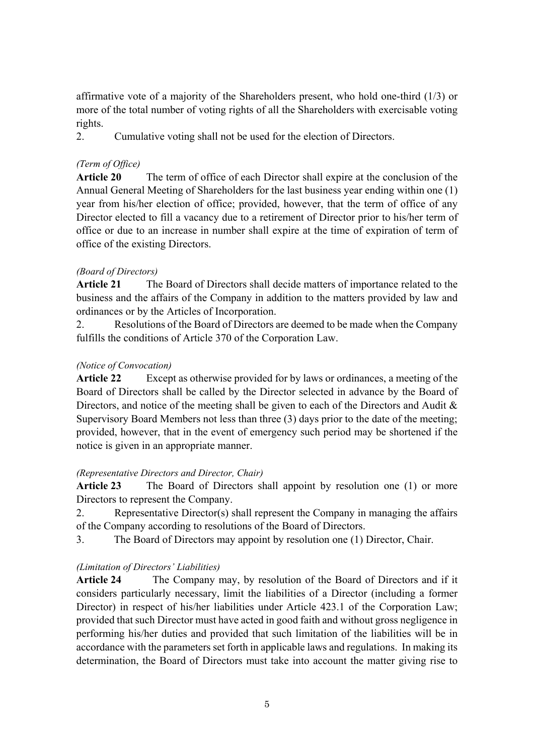affirmative vote of a majority of the Shareholders present, who hold one-third (1/3) or more of the total number of voting rights of all the Shareholders with exercisable voting rights.

2. Cumulative voting shall not be used for the election of Directors.

# *(Term of Office)*

**Article 20** The term of office of each Director shall expire at the conclusion of the Annual General Meeting of Shareholders for the last business year ending within one (1) year from his/her election of office; provided, however, that the term of office of any Director elected to fill a vacancy due to a retirement of Director prior to his/her term of office or due to an increase in number shall expire at the time of expiration of term of office of the existing Directors.

# *(Board of Directors)*

**Article 21** The Board of Directors shall decide matters of importance related to the business and the affairs of the Company in addition to the matters provided by law and ordinances or by the Articles of Incorporation.

2. Resolutions of the Board of Directors are deemed to be made when the Company fulfills the conditions of Article 370 of the Corporation Law.

# *(Notice of Convocation)*

**Article 22** Except as otherwise provided for by laws or ordinances, a meeting of the Board of Directors shall be called by the Director selected in advance by the Board of Directors, and notice of the meeting shall be given to each of the Directors and Audit & Supervisory Board Members not less than three (3) days prior to the date of the meeting; provided, however, that in the event of emergency such period may be shortened if the notice is given in an appropriate manner.

# *(Representative Directors and Director, Chair)*

**Article 23** The Board of Directors shall appoint by resolution one (1) or more Directors to represent the Company.

2. Representative Director(s) shall represent the Company in managing the affairs of the Company according to resolutions of the Board of Directors.

3. The Board of Directors may appoint by resolution one (1) Director, Chair.

# *(Limitation of Directors' Liabilities)*

**Article 24** The Company may, by resolution of the Board of Directors and if it considers particularly necessary, limit the liabilities of a Director (including a former Director) in respect of his/her liabilities under Article 423.1 of the Corporation Law; provided that such Director must have acted in good faith and without gross negligence in performing his/her duties and provided that such limitation of the liabilities will be in accordance with the parameters set forth in applicable laws and regulations. In making its determination, the Board of Directors must take into account the matter giving rise to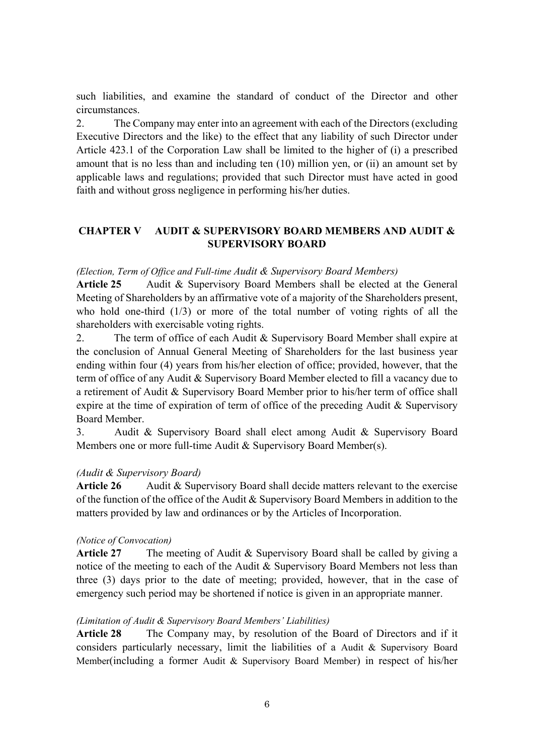such liabilities, and examine the standard of conduct of the Director and other circumstances.

2. The Company may enter into an agreement with each of the Directors (excluding Executive Directors and the like) to the effect that any liability of such Director under Article 423.1 of the Corporation Law shall be limited to the higher of (i) a prescribed amount that is no less than and including ten (10) million yen, or (ii) an amount set by applicable laws and regulations; provided that such Director must have acted in good faith and without gross negligence in performing his/her duties.

# **CHAPTER V AUDIT & SUPERVISORY BOARD MEMBERS AND AUDIT & SUPERVISORY BOARD**

### *(Election, Term of Office and Full-time Audit & Supervisory Board Members)*

Article 25 Audit & Supervisory Board Members shall be elected at the General Meeting of Shareholders by an affirmative vote of a majority of the Shareholders present, who hold one-third  $(1/3)$  or more of the total number of voting rights of all the shareholders with exercisable voting rights.

2. The term of office of each Audit & Supervisory Board Member shall expire at the conclusion of Annual General Meeting of Shareholders for the last business year ending within four (4) years from his/her election of office; provided, however, that the term of office of any Audit & Supervisory Board Member elected to fill a vacancy due to a retirement of Audit & Supervisory Board Member prior to his/her term of office shall expire at the time of expiration of term of office of the preceding Audit & Supervisory Board Member.

3. Audit & Supervisory Board shall elect among Audit & Supervisory Board Members one or more full-time Audit & Supervisory Board Member(s).

# *(Audit & Supervisory Board)*

Article 26 Audit & Supervisory Board shall decide matters relevant to the exercise of the function of the office of the Audit & Supervisory Board Members in addition to the matters provided by law and ordinances or by the Articles of Incorporation.

### *(Notice of Convocation)*

**Article 27** The meeting of Audit & Supervisory Board shall be called by giving a notice of the meeting to each of the Audit & Supervisory Board Members not less than three (3) days prior to the date of meeting; provided, however, that in the case of emergency such period may be shortened if notice is given in an appropriate manner.

### *(Limitation of Audit & Supervisory Board Members' Liabilities)*

**Article 28** The Company may, by resolution of the Board of Directors and if it considers particularly necessary, limit the liabilities of a Audit & Supervisory Board Member(including a former Audit & Supervisory Board Member) in respect of his/her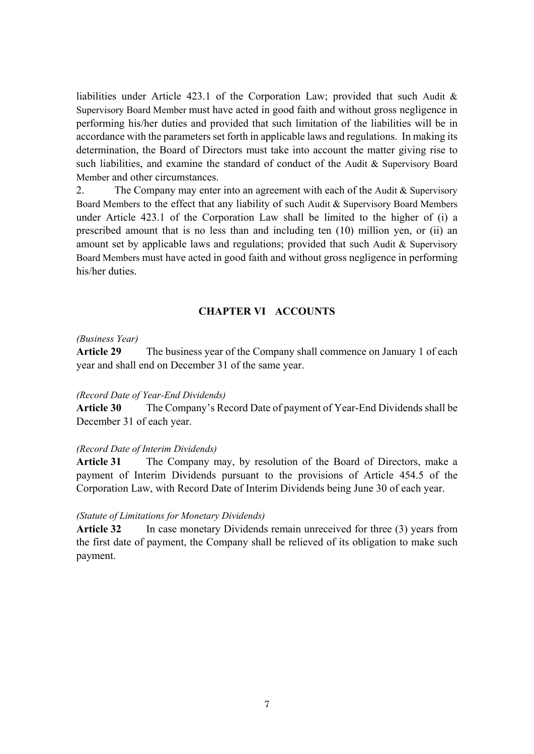liabilities under Article 423.1 of the Corporation Law; provided that such Audit & Supervisory Board Member must have acted in good faith and without gross negligence in performing his/her duties and provided that such limitation of the liabilities will be in accordance with the parameters set forth in applicable laws and regulations. In making its determination, the Board of Directors must take into account the matter giving rise to such liabilities, and examine the standard of conduct of the Audit & Supervisory Board Member and other circumstances.

2. The Company may enter into an agreement with each of the Audit & Supervisory Board Members to the effect that any liability of such Audit & Supervisory Board Members under Article 423.1 of the Corporation Law shall be limited to the higher of (i) a prescribed amount that is no less than and including ten (10) million yen, or (ii) an amount set by applicable laws and regulations; provided that such Audit & Supervisory Board Members must have acted in good faith and without gross negligence in performing his/her duties.

### **CHAPTER VI ACCOUNTS**

#### *(Business Year)*

**Article 29** The business year of the Company shall commence on January 1 of each year and shall end on December 31 of the same year.

#### *(Record Date of Year-End Dividends)*

**Article 30** The Company's Record Date of payment of Year-End Dividends shall be December 31 of each year.

#### *(Record Date of Interim Dividends)*

**Article 31** The Company may, by resolution of the Board of Directors, make a payment of Interim Dividends pursuant to the provisions of Article 454.5 of the Corporation Law, with Record Date of Interim Dividends being June 30 of each year.

#### *(Statute of Limitations for Monetary Dividends)*

**Article 32** In case monetary Dividends remain unreceived for three (3) years from the first date of payment, the Company shall be relieved of its obligation to make such payment.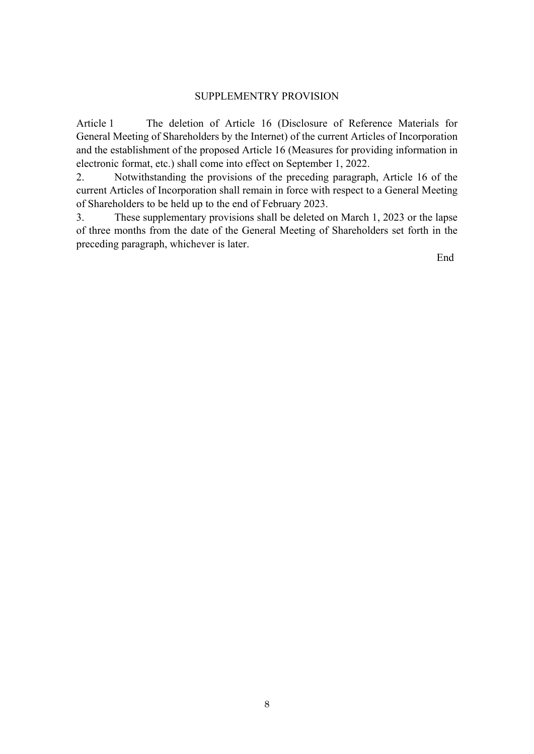#### SUPPLEMENTRY PROVISION

Article 1 The deletion of Article 16 (Disclosure of Reference Materials for General Meeting of Shareholders by the Internet) of the current Articles of Incorporation and the establishment of the proposed Article 16 (Measures for providing information in electronic format, etc.) shall come into effect on September 1, 2022.

2. Notwithstanding the provisions of the preceding paragraph, Article 16 of the current Articles of Incorporation shall remain in force with respect to a General Meeting of Shareholders to be held up to the end of February 2023.

3. These supplementary provisions shall be deleted on March 1, 2023 or the lapse of three months from the date of the General Meeting of Shareholders set forth in the preceding paragraph, whichever is later.

End